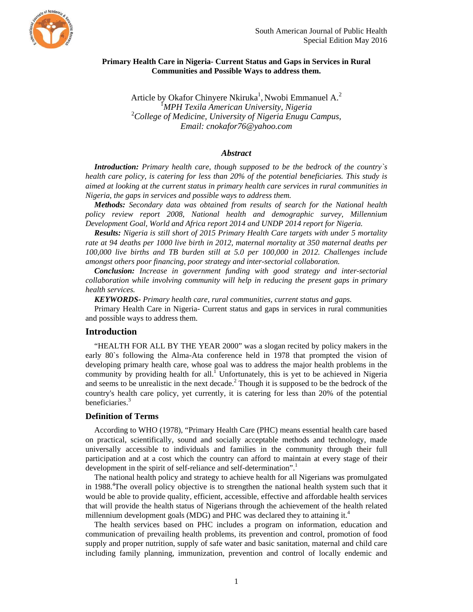

## **Primary Health Care in Nigeria- Current Status and Gaps in Services in Rural Communities and Possible Ways to address them.**

Article by Okafor Chinyere Nkiruka<sup>1</sup>, Nwobi Emmanuel A.<sup>2</sup> 1 *MPH Texila American University, Nigeria* <sup>2</sup> *College of Medicine, University of Nigeria Enugu Campus, Email: cnokafor76@yahoo.com* 

## *Abstract*

*Introduction: Primary health care, though supposed to be the bedrock of the country`s health care policy, is catering for less than 20% of the potential beneficiaries. This study is aimed at looking at the current status in primary health care services in rural communities in Nigeria, the gaps in services and possible ways to address them.*

*Methods: Secondary data was obtained from results of search for the National health policy review report 2008, National health and demographic survey, Millennium Development Goal, World and Africa report 2014 and UNDP 2014 report for Nigeria.*

*Results: Nigeria is still short of 2015 Primary Health Care targets with under 5 mortality rate at 94 deaths per 1000 live birth in 2012, maternal mortality at 350 maternal deaths per 100,000 live births and TB burden still at 5.0 per 100,000 in 2012. Challenges include amongst others poor financing, poor strategy and inter-sectorial collaboration.*

*Conclusion: Increase in government funding with good strategy and inter-sectorial collaboration while involving community will help in reducing the present gaps in primary health services.*

*KEYWORDS- Primary health care, rural communities, current status and gaps.* 

Primary Health Care in Nigeria- Current status and gaps in services in rural communities and possible ways to address them.

### **Introduction**

"HEALTH FOR ALL BY THE YEAR 2000" was a slogan recited by policy makers in the early 80`s following the Alma-Ata conference held in 1978 that prompted the vision of developing primary health care, whose goal was to address the major health problems in the community by providing health for all.<sup> $\overline{1}$ </sup> Unfortunately, this is yet to be achieved in Nigeria and seems to be unrealistic in the next decade.<sup>2</sup> Though it is supposed to be the bedrock of the country's health care policy, yet currently, it is catering for less than 20% of the potential beneficiaries.<sup>3</sup>

## **Definition of Terms**

According to WHO (1978), "Primary Health Care (PHC) means essential health care based on practical, scientifically, sound and socially acceptable methods and technology, made universally accessible to individuals and families in the community through their full participation and at a cost which the country can afford to maintain at every stage of their development in the spirit of self-reliance and self-determination".<sup>1</sup>

The national health policy and strategy to achieve health for all Nigerians was promulgated in 1988.<sup>4</sup>The overall policy objective is to strengthen the national health system such that it would be able to provide quality, efficient, accessible, effective and affordable health services that will provide the health status of Nigerians through the achievement of the health related millennium development goals (MDG) and PHC was declared they to attaining it.<sup>4</sup>

The health services based on PHC includes a program on information, education and communication of prevailing health problems, its prevention and control, promotion of food supply and proper nutrition, supply of safe water and basic sanitation, maternal and child care including family planning, immunization, prevention and control of locally endemic and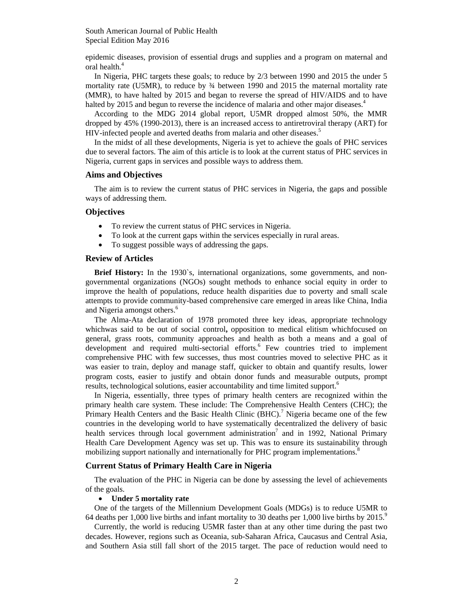epidemic diseases, provision of essential drugs and supplies and a program on maternal and oral health.<sup>4</sup>

In Nigeria, PHC targets these goals; to reduce by 2/3 between 1990 and 2015 the under 5 mortality rate (U5MR), to reduce by  $\frac{3}{4}$  between 1990 and 2015 the maternal mortality rate (MMR), to have halted by 2015 and began to reverse the spread of HIV/AIDS and to have halted by 2015 and begun to reverse the incidence of malaria and other major diseases.<sup>4</sup>

According to the MDG 2014 global report, U5MR dropped almost 50%, the MMR dropped by 45% (1990-2013), there is an increased access to antiretroviral therapy (ART) for HIV-infected people and averted deaths from malaria and other diseases.<sup>5</sup>

In the midst of all these developments, Nigeria is yet to achieve the goals of PHC services due to several factors. The aim of this article is to look at the current status of PHC services in Nigeria, current gaps in services and possible ways to address them.

#### **Aims and Objectives**

The aim is to review the current status of PHC services in Nigeria, the gaps and possible ways of addressing them.

### **Objectives**

- To review the current status of PHC services in Nigeria.
- To look at the current gaps within the services especially in rural areas.
- To suggest possible ways of addressing the gaps.

## **Review of Articles**

**Brief History:** In the 1930`s, international organizations, some governments, and nongovernmental organizations (NGOs) sought methods to enhance social equity in order to improve the health of populations, reduce health disparities due to poverty and small scale attempts to provide community-based comprehensive care emerged in areas like China, India and Nigeria amongst others.<sup>6</sup>

The Alma-Ata declaration of 1978 promoted three key ideas, appropriate technology whichwas said to be out of social control**,** opposition to medical elitism whichfocused on general, grass roots, community approaches and health as both a means and a goal of development and required multi-sectorial efforts.<sup>6</sup> Few countries tried to implement comprehensive PHC with few successes, thus most countries moved to selective PHC as it was easier to train, deploy and manage staff, quicker to obtain and quantify results, lower program costs, easier to justify and obtain donor funds and measurable outputs, prompt results, technological solutions, easier accountability and time limited support.<sup>6</sup>

In Nigeria, essentially, three types of primary health centers are recognized within the primary health care system. These include: The Comprehensive Health Centers (CHC); the Primary Health Centers and the Basic Health Clinic  $(BHC)$ .<sup>7</sup> Nigeria became one of the few countries in the developing world to have systematically decentralized the delivery of basic health services through local government administration<sup>7</sup> and in 1992, National Primary Health Care Development Agency was set up. This was to ensure its sustainability through mobilizing support nationally and internationally for PHC program implementations.<sup>8</sup>

#### **Current Status of Primary Health Care in Nigeria**

The evaluation of the PHC in Nigeria can be done by assessing the level of achievements of the goals.

#### **Under 5 mortality rate**

One of the targets of the Millennium Development Goals (MDGs) is to reduce U5MR to 64 deaths per 1,000 live births and infant mortality to 30 deaths per 1,000 live births by 2015.<sup>9</sup>

Currently, the world is reducing U5MR faster than at any other time during the past two decades. However, regions such as Oceania, sub-Saharan Africa, Caucasus and Central Asia, and Southern Asia still fall short of the 2015 target. The pace of reduction would need to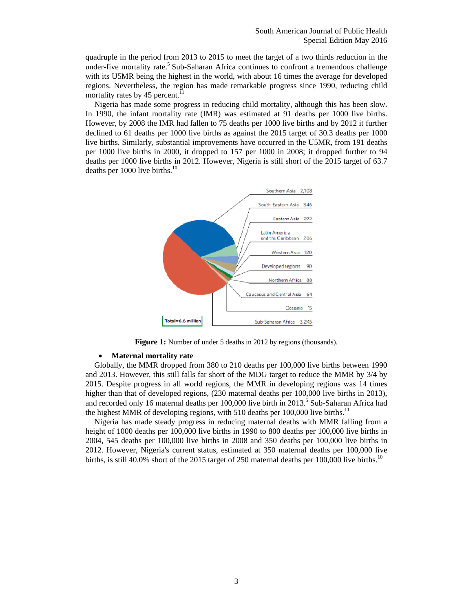quadruple in the period from 2013 to 2015 to meet the target of a two thirds reduction in the under-five mortality rate.<sup>5</sup> Sub-Saharan Africa continues to confront a tremendous challenge with its U5MR being the highest in the world, with about 16 times the average for developed regions. Nevertheless, the region has made remarkable progress since 1990, reducing child mortality rates by 45 percent.<sup>11</sup>

Nigeria has made some progress in reducing child mortality, although this has been slow. In 1990, the infant mortality rate (IMR) was estimated at 91 deaths per 1000 live births. However, by 2008 the IMR had fallen to 75 deaths per 1000 live births and by 2012 it further declined to 61 deaths per 1000 live births as against the 2015 target of 30.3 deaths per 1000 live births. Similarly, substantial improvements have occurred in the U5MR, from 191 deaths per 1000 live births in 2000, it dropped to 157 per 1000 in 2008; it dropped further to 94 deaths per 1000 live births in 2012. However, Nigeria is still short of the 2015 target of 63.7 deaths per 1000 live births.<sup>10</sup>



**Figure 1:** Number of under 5 deaths in 2012 by regions (thousands).

### **Maternal mortality rate**

Globally, the MMR dropped from 380 to 210 deaths per 100,000 live births between 1990 and 2013. However, this still falls far short of the MDG target to reduce the MMR by 3/4 by 2015. Despite progress in all world regions, the MMR in developing regions was 14 times higher than that of developed regions,  $(230 \text{ maternal deaths per } 100,000 \text{ live births in } 2013)$ , and recorded only 16 maternal deaths per  $100,000$  live birth in  $2013$ .<sup>5</sup> Sub-Saharan Africa had the highest MMR of developing regions, with 510 deaths per  $100,000$  live births.<sup>11</sup>

Nigeria has made steady progress in reducing maternal deaths with MMR falling from a height of 1000 deaths per 100,000 live births in 1990 to 800 deaths per 100,000 live births in 2004, 545 deaths per 100,000 live births in 2008 and 350 deaths per 100,000 live births in 2012. However, Nigeria's current status, estimated at 350 maternal deaths per 100,000 live births, is still 40.0% short of the 2015 target of 250 maternal deaths per 100,000 live births.<sup>10</sup>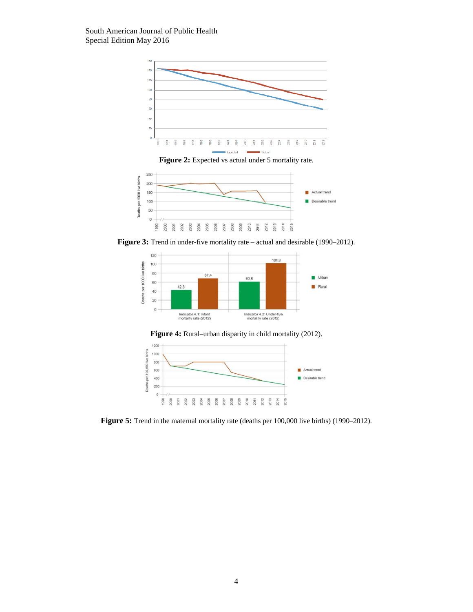

Figure 2: Expected vs actual under 5 mortality rate.



Figure 3: Trend in under-five mortality rate – actual and desirable (1990–2012).







Figure 5: Trend in the maternal mortality rate (deaths per 100,000 live births) (1990–2012).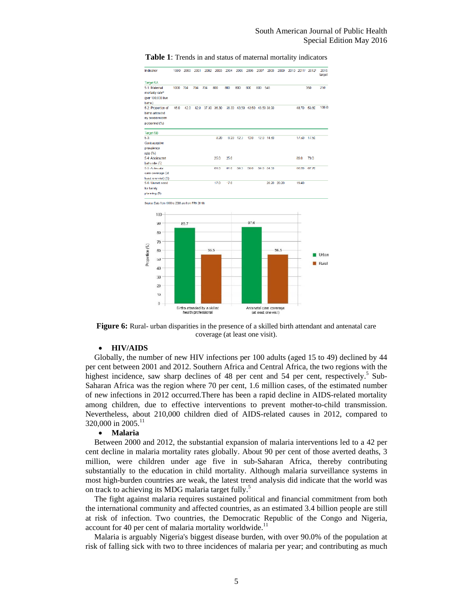| Indicator                                                    | 1990 | 2000     | 2001 |      | 2002 2003 2004 |      |           | 2005 2006 2007                |     | 2009       | 2009        | 2010 2011 2012 |       | 2015<br>target |
|--------------------------------------------------------------|------|----------|------|------|----------------|------|-----------|-------------------------------|-----|------------|-------------|----------------|-------|----------------|
| Target 5A                                                    |      |          |      |      |                |      |           |                               |     |            |             |                |       |                |
| 5.1: Maternal                                                |      | 1000 704 | 704  | 704  | 800            | 800  | 800       | BO <sub>C</sub>               | 008 | 545        |             |                | 350   | 250            |
| mortality rate <sup>20</sup><br>(per 100,000 live            |      |          |      |      |                |      |           |                               |     |            |             |                |       |                |
| births)                                                      |      |          |      |      |                |      |           |                               |     |            |             |                |       |                |
| 5.2 Proportion of                                            | 45.0 | 42.0     | 42.0 |      | 37.30 36.30    |      |           | 36.30 43.50 43.50 43.50 38.90 |     |            |             | 48.70 53.60    |       | 100.0          |
| births attended                                              |      |          |      |      |                |      |           |                               |     |            |             |                |       |                |
| by skilled health                                            |      |          |      |      |                |      |           |                               |     |            |             |                |       |                |
| pcroonnel (%)                                                |      |          |      |      |                |      |           |                               |     |            |             |                |       |                |
| Target 5B                                                    |      |          |      |      |                |      |           |                               |     |            |             |                |       |                |
| 5.3 <sub>z</sub>                                             |      |          |      |      | 820            |      | 8.20 12.3 | 12.0                          |     | 12.0 14.60 |             | 17.50          | 17.50 |                |
| Contraceptive                                                |      |          |      |      |                |      |           |                               |     |            |             |                |       |                |
| prevalence                                                   |      |          |      |      |                |      |           |                               |     |            |             |                |       |                |
| rate $(% )$                                                  |      |          |      |      |                |      |           |                               |     |            |             |                |       |                |
| 54 Adolescent                                                |      |          |      |      | 250            | 250  |           |                               |     |            |             | 890            | 79.0  |                |
| birth rate (5)<br>5.5 Antenatal                              |      |          |      |      | 61.0           | 61.0 | 59.3      | 59.0                          |     | 59.0 54.50 |             | 66.20          | 67.70 |                |
| care coverage (at                                            |      |          |      |      |                |      |           |                               |     |            |             |                |       |                |
| least one visil) (5)                                         |      |          |      |      |                |      |           |                               |     |            |             |                |       |                |
| 5.6: Unmet need                                              |      |          |      |      | 17.0           | 17.0 |           |                               |     |            | 20.20 20.20 | 19.40          |       |                |
| for family                                                   |      |          |      |      |                |      |           |                               |     |            |             |                |       |                |
| planning (5)                                                 |      |          |      |      |                |      |           |                               |     |            |             |                |       |                |
| Source: Data from 1990 to 2008 are from FRN 2010b<br>$100 -$ |      |          |      |      |                |      |           |                               |     |            |             |                |       |                |
| 90                                                           |      | 85.7     |      |      |                |      |           | 87.6                          |     |            |             |                |       |                |
| 80                                                           |      |          |      |      |                |      |           |                               |     |            |             |                |       |                |
| 70                                                           |      |          |      |      |                |      |           |                               |     |            |             |                |       |                |
| 60                                                           |      |          |      | 55.5 |                |      |           |                               |     |            | 56.5        |                |       |                |
|                                                              |      |          |      |      |                |      |           |                               |     |            |             |                |       | Urban          |
| Proportion (%)<br>50                                         |      |          |      |      |                |      |           |                               |     |            |             |                |       | Rural          |
| 40                                                           |      |          |      |      |                |      |           |                               |     |            |             |                |       |                |
| 30                                                           |      |          |      |      |                |      |           |                               |     |            |             |                |       |                |
|                                                              |      |          |      |      |                |      |           |                               |     |            |             |                |       |                |
| 20                                                           |      |          |      |      |                |      |           |                               |     |            |             |                |       |                |
| 10                                                           |      |          |      |      |                |      |           |                               |     |            |             |                |       |                |
| $\theta$                                                     |      |          |      |      |                |      |           |                               |     |            |             |                |       |                |

**Figure 6:** Rural- urban disparities in the presence of a skilled birth attendant and antenatal care coverage (at least one visit).

## **HIV/AIDS**

Globally, the number of new HIV infections per 100 adults (aged 15 to 49) declined by 44 per cent between 2001 and 2012. Southern Africa and Central Africa, the two regions with the highest incidence, saw sharp declines of 48 per cent and 54 per cent, respectively.<sup>5</sup> Sub-Saharan Africa was the region where 70 per cent, 1.6 million cases, of the estimated number of new infections in 2012 occurred.There has been a rapid decline in AIDS-related mortality among children, due to effective interventions to prevent mother-to-child transmission. Nevertheless, about 210,000 children died of AIDS-related causes in 2012, compared to 320,000 in 2005.<sup>11</sup>

## **Malaria**

Between 2000 and 2012, the substantial expansion of malaria interventions led to a 42 per cent decline in malaria mortality rates globally. About 90 per cent of those averted deaths, 3 million, were children under age five in sub-Saharan Africa, thereby contributing substantially to the education in child mortality. Although malaria surveillance systems in most high-burden countries are weak, the latest trend analysis did indicate that the world was on track to achieving its MDG malaria target fully.<sup>5</sup>

The fight against malaria requires sustained political and financial commitment from both the international community and affected countries, as an estimated 3.4 billion people are still at risk of infection. Two countries, the Democratic Republic of the Congo and Nigeria, account for 40 per cent of malaria mortality worldwide.<sup>11</sup>

Malaria is arguably Nigeria's biggest disease burden, with over 90.0% of the population at risk of falling sick with two to three incidences of malaria per year; and contributing as much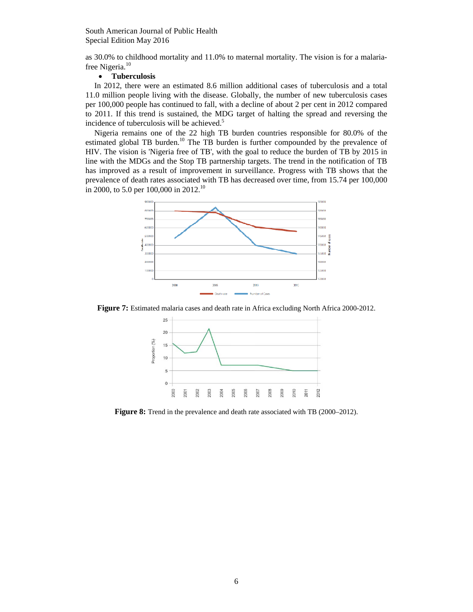as 30.0% to childhood mortality and 11.0% to maternal mortality. The vision is for a malariafree Nigeria.<sup>10</sup>

## **Tuberculosis**

In 2012, there were an estimated 8.6 million additional cases of tuberculosis and a total 11.0 million people living with the disease. Globally, the number of new tuberculosis cases per 100,000 people has continued to fall, with a decline of about 2 per cent in 2012 compared to 2011. If this trend is sustained, the MDG target of halting the spread and reversing the incidence of tuberculosis will be achieved.<sup>5</sup>

Nigeria remains one of the 22 high TB burden countries responsible for 80.0% of the estimated global TB burden.<sup>10</sup> The TB burden is further compounded by the prevalence of HIV. The vision is 'Nigeria free of TB', with the goal to reduce the burden of TB by 2015 in line with the MDGs and the Stop TB partnership targets. The trend in the notification of TB has improved as a result of improvement in surveillance. Progress with TB shows that the prevalence of death rates associated with TB has decreased over time, from 15.74 per 100,000 in 2000, to 5.0 per 100,000 in 2012.<sup>10</sup>



**Figure 7:** Estimated malaria cases and death rate in Africa excluding North Africa 2000-2012.



**Figure 8:** Trend in the prevalence and death rate associated with TB (2000–2012).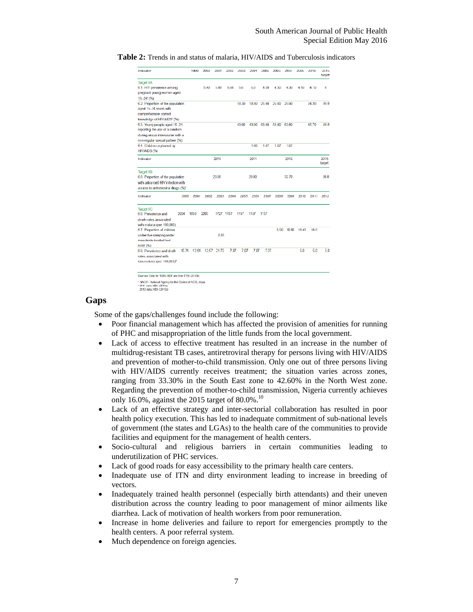| <b>Table 2:</b> Trends in and status of malaria. HIV/AIDS and Tuberculosis indicators |  |
|---------------------------------------------------------------------------------------|--|
|---------------------------------------------------------------------------------------|--|

| Target 6A<br>6.1: HIV prevalence among<br>pregnant young women aged<br>$15 - 24$ <sup>1</sup> (%)<br>6.2: Proportion of the population<br>aged 15-24 years with<br>comprehensive correct<br>knowledge of HIV/AIDS' (%)<br>6.3: Young people aged 15 24<br>reporting the use of a condom<br>during sexual intercourse with a |       | 5.40  | 580       | 5.80 | 5.0<br>18.30 | 50    | 4.30  | 4.30  | 4.30  | 4.10  | 4.10            | O              |
|-----------------------------------------------------------------------------------------------------------------------------------------------------------------------------------------------------------------------------------------------------------------------------------------------------------------------------|-------|-------|-----------|------|--------------|-------|-------|-------|-------|-------|-----------------|----------------|
|                                                                                                                                                                                                                                                                                                                             |       |       |           |      |              |       |       |       |       |       |                 |                |
|                                                                                                                                                                                                                                                                                                                             |       |       |           |      |              |       |       |       |       |       |                 |                |
|                                                                                                                                                                                                                                                                                                                             |       |       |           |      |              |       |       |       |       |       |                 |                |
|                                                                                                                                                                                                                                                                                                                             |       |       |           |      |              |       |       |       |       |       |                 |                |
|                                                                                                                                                                                                                                                                                                                             |       |       |           |      |              | 18.30 | 25.90 | 25.90 | 25.90 |       | 24.20           | 30.0           |
|                                                                                                                                                                                                                                                                                                                             |       |       |           |      |              |       |       |       |       |       |                 |                |
|                                                                                                                                                                                                                                                                                                                             |       |       |           |      |              |       |       |       |       |       |                 |                |
|                                                                                                                                                                                                                                                                                                                             |       |       |           |      |              |       |       |       |       |       |                 |                |
|                                                                                                                                                                                                                                                                                                                             |       |       |           |      | 43.90        | 43.90 | 63.80 | 63.80 | 63.80 |       | 45.70           | 80.0           |
|                                                                                                                                                                                                                                                                                                                             |       |       |           |      |              |       |       |       |       |       |                 |                |
|                                                                                                                                                                                                                                                                                                                             |       |       |           |      |              |       |       |       |       |       |                 |                |
| non-regular sexual partner [%)                                                                                                                                                                                                                                                                                              |       |       |           |      |              |       |       |       |       |       |                 |                |
| 6.4. Children or phaned by                                                                                                                                                                                                                                                                                                  |       |       |           |      |              | 1.80  | 1.97  | 1.97  | 1.97  |       |                 |                |
| HIV/AIDS (%)                                                                                                                                                                                                                                                                                                                |       |       |           |      |              |       |       |       |       |       |                 |                |
| Indicator                                                                                                                                                                                                                                                                                                                   |       |       | 2010      |      |              | 2011  |       |       | 2012  |       |                 | 2015<br>target |
| Target 6B                                                                                                                                                                                                                                                                                                                   |       |       |           |      |              |       |       |       |       |       |                 |                |
| 6.5: Proportion of the population                                                                                                                                                                                                                                                                                           |       |       | 2390      |      |              | 28.80 |       |       | 3270  |       |                 | 300            |
| with advanced HIV infection with                                                                                                                                                                                                                                                                                            |       |       |           |      |              |       |       |       |       |       |                 |                |
| access to antretroviral drugs (%) <sup>®</sup>                                                                                                                                                                                                                                                                              |       |       |           |      |              |       |       |       |       |       |                 |                |
| Indicator<br>2000                                                                                                                                                                                                                                                                                                           | 2001  | 2002  | 2003      | 2004 | 2005         | 2006  | 2007  | 2008  | 2009  | 2010  | 2011            | 2012           |
| Target 6C                                                                                                                                                                                                                                                                                                                   |       |       |           |      |              |       |       |       |       |       |                 |                |
| 6.6: Pievalence and<br>2024                                                                                                                                                                                                                                                                                                 | 1859  | 2203  | 1727 1157 |      | 1157         | 1157  | 1157  |       |       |       |                 |                |
| death rates associated                                                                                                                                                                                                                                                                                                      |       |       |           |      |              |       |       |       |       |       |                 |                |
| with malaria (per 100,000)                                                                                                                                                                                                                                                                                                  |       |       |           |      |              |       |       |       |       |       |                 |                |
| 6.7: Proportion of children                                                                                                                                                                                                                                                                                                 |       |       |           |      |              |       |       | 5.50  | 10.90 | 16.40 | 18 <sub>0</sub> |                |
| under five sleeping under                                                                                                                                                                                                                                                                                                   |       |       | 2.20      |      |              |       |       |       |       |       |                 |                |
| insacticide-treated bad                                                                                                                                                                                                                                                                                                     |       |       |           |      |              |       |       |       |       |       |                 |                |
| neta <sup>2</sup> (96)                                                                                                                                                                                                                                                                                                      |       |       |           |      |              |       |       |       |       |       |                 |                |
| 15.74<br>6.8: Prevalence and death                                                                                                                                                                                                                                                                                          | 12.01 | 12.57 | 21.75     | 7.07 | 7.07         | 7.07  | 7.07  |       |       | 60    | 50              | 50             |
| rates associated with                                                                                                                                                                                                                                                                                                       |       |       |           |      |              |       |       |       |       |       |                 |                |
| tuberculosis (per 100,000) <sup>3</sup>                                                                                                                                                                                                                                                                                     |       |       |           |      |              |       |       |       |       |       |                 |                |

tcy for the Control of AIDS, Abuja 2011 cats: NBS (2011a)

## **Gaps**

Some of the gaps/challenges found include the following:

- Poor financial management which has affected the provision of amenities for running of PHC and misappropriation of the little funds from the local government.
- Lack of access to effective treatment has resulted in an increase in the number of multidrug-resistant TB cases, antiretroviral therapy for persons living with HIV/AIDS and prevention of mother-to-child transmission. Only one out of three persons living with HIV/AIDS currently receives treatment; the situation varies across zones, ranging from 33.30% in the South East zone to 42.60% in the North West zone. Regarding the prevention of mother-to-child transmission, Nigeria currently achieves only 16.0%, against the 2015 target of  $80.0\%$ .<sup>10</sup>
- Lack of an effective strategy and inter-sectorial collaboration has resulted in poor health policy execution. This has led to inadequate commitment of sub-national levels of government (the states and LGAs) to the health care of the communities to provide facilities and equipment for the management of health centers.
- Socio-cultural and religious barriers in certain communities leading to underutilization of PHC services.
- Lack of good roads for easy accessibility to the primary health care centers.
- Inadequate use of ITN and dirty environment leading to increase in breeding of vectors.
- Inadequately trained health personnel (especially birth attendants) and their uneven distribution across the country leading to poor management of minor ailments like diarrhea. Lack of motivation of health workers from poor remuneration.
- Increase in home deliveries and failure to report for emergencies promptly to the health centers. A poor referral system.
- Much dependence on foreign agencies.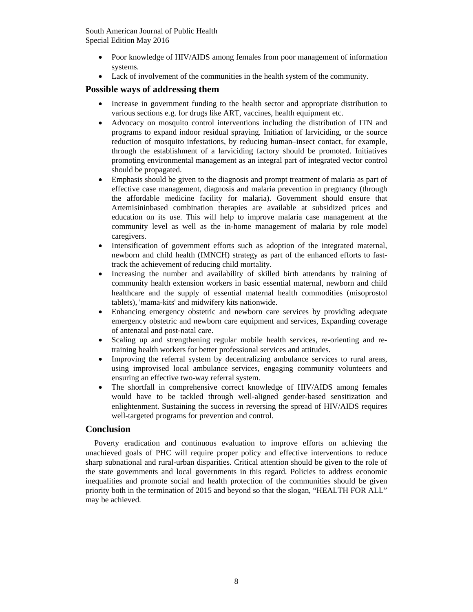- Poor knowledge of HIV/AIDS among females from poor management of information systems.
- Lack of involvement of the communities in the health system of the community.

# **Possible ways of addressing them**

- Increase in government funding to the health sector and appropriate distribution to various sections e.g. for drugs like ART, vaccines, health equipment etc.
- Advocacy on mosquito control interventions including the distribution of ITN and programs to expand indoor residual spraying. Initiation of larviciding, or the source reduction of mosquito infestations, by reducing human–insect contact, for example, through the establishment of a larviciding factory should be promoted. Initiatives promoting environmental management as an integral part of integrated vector control should be propagated.
- Emphasis should be given to the diagnosis and prompt treatment of malaria as part of effective case management, diagnosis and malaria prevention in pregnancy (through the affordable medicine facility for malaria). Government should ensure that Artemisininbased combination therapies are available at subsidized prices and education on its use. This will help to improve malaria case management at the community level as well as the in-home management of malaria by role model caregivers.
- Intensification of government efforts such as adoption of the integrated maternal, newborn and child health (IMNCH) strategy as part of the enhanced efforts to fasttrack the achievement of reducing child mortality.
- Increasing the number and availability of skilled birth attendants by training of community health extension workers in basic essential maternal, newborn and child healthcare and the supply of essential maternal health commodities (misoprostol tablets), 'mama-kits' and midwifery kits nationwide.
- Enhancing emergency obstetric and newborn care services by providing adequate emergency obstetric and newborn care equipment and services, Expanding coverage of antenatal and post-natal care.
- Scaling up and strengthening regular mobile health services, re-orienting and retraining health workers for better professional services and attitudes.
- Improving the referral system by decentralizing ambulance services to rural areas, using improvised local ambulance services, engaging community volunteers and ensuring an effective two-way referral system.
- The shortfall in comprehensive correct knowledge of HIV/AIDS among females would have to be tackled through well-aligned gender-based sensitization and enlightenment. Sustaining the success in reversing the spread of HIV/AIDS requires well-targeted programs for prevention and control.

# **Conclusion**

Poverty eradication and continuous evaluation to improve efforts on achieving the unachieved goals of PHC will require proper policy and effective interventions to reduce sharp subnational and rural-urban disparities. Critical attention should be given to the role of the state governments and local governments in this regard. Policies to address economic inequalities and promote social and health protection of the communities should be given priority both in the termination of 2015 and beyond so that the slogan, "HEALTH FOR ALL" may be achieved.